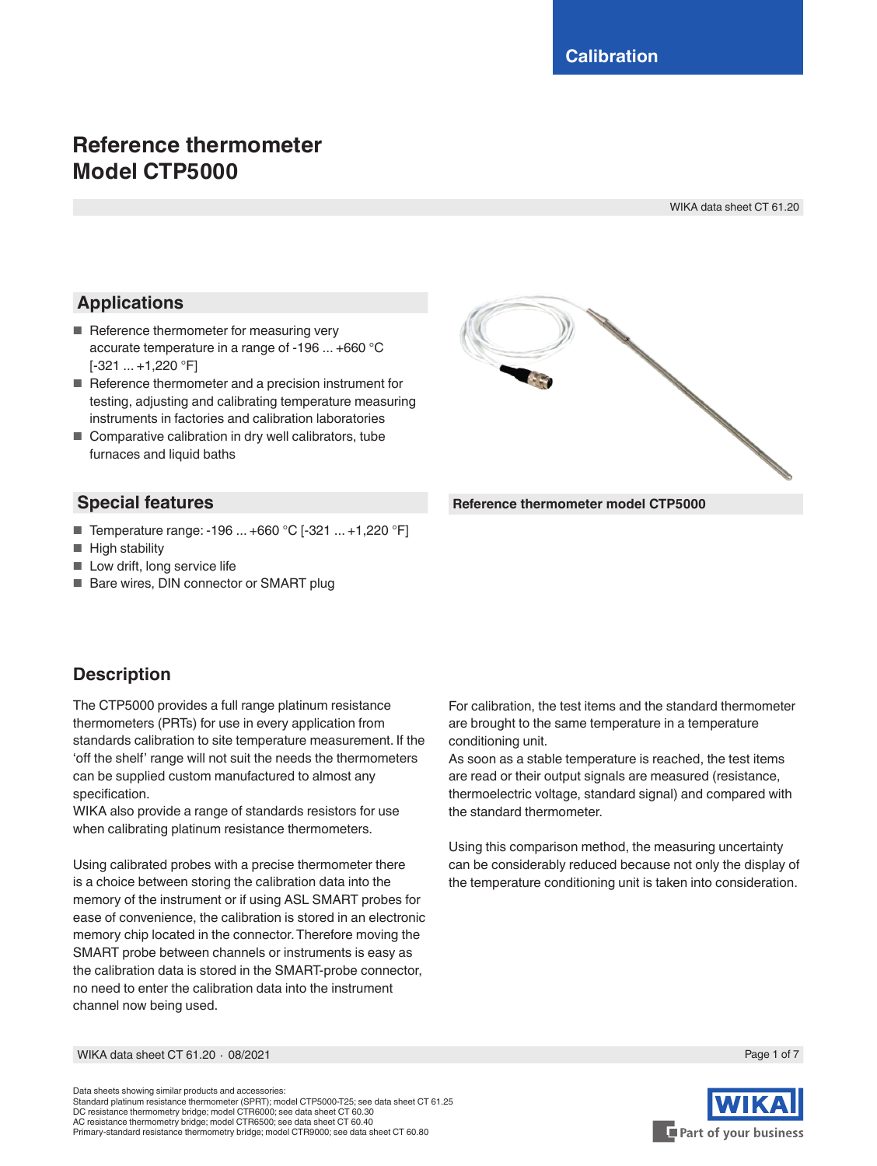# **Reference thermometer Model CTP5000**

WIKA data sheet CT 61.20

# **Applications**

- Reference thermometer for measuring very accurate temperature in a range of -196 ... +660 °C  $[-321 \dots +1,220 \degree F]$
- Reference thermometer and a precision instrument for testing, adjusting and calibrating temperature measuring instruments in factories and calibration laboratories
- Comparative calibration in dry well calibrators, tube furnaces and liquid baths

#### **Special features**

- Temperature range: -196 ... +660 °C [-321 ... +1,220 °F]
- High stability
- Low drift, long service life
- Bare wires, DIN connector or SMART plug



**Description**

The CTP5000 provides a full range platinum resistance thermometers (PRTs) for use in every application from standards calibration to site temperature measurement. If the 'off the shelf' range will not suit the needs the thermometers can be supplied custom manufactured to almost any specification.

WIKA also provide a range of standards resistors for use when calibrating platinum resistance thermometers.

Using calibrated probes with a precise thermometer there is a choice between storing the calibration data into the memory of the instrument or if using ASL SMART probes for ease of convenience, the calibration is stored in an electronic memory chip located in the connector. Therefore moving the SMART probe between channels or instruments is easy as the calibration data is stored in the SMART-probe connector, no need to enter the calibration data into the instrument channel now being used.

For calibration, the test items and the standard thermometer are brought to the same temperature in a temperature conditioning unit.

As soon as a stable temperature is reached, the test items are read or their output signals are measured (resistance, thermoelectric voltage, standard signal) and compared with the standard thermometer.

Using this comparison method, the measuring uncertainty can be considerably reduced because not only the display of the temperature conditioning unit is taken into consideration.

WIKA data sheet CT 61.20 ⋅ 08/2021 Page 1 of 7

Data sheets showing similar products and accessories: Standard platinum resistance thermometer (SPRT); model CTP5000-T25; see data sheet CT 61.25 DC resistance thermometry bridge; model CTR6000; see data sheet CT 60.30 AC resistance thermometry bridge; model CTR6500; see data sheet CT 60.40 Primary-standard resistance thermometry bridge; model CTR9000; see data sheet CT 60.80



Part of your business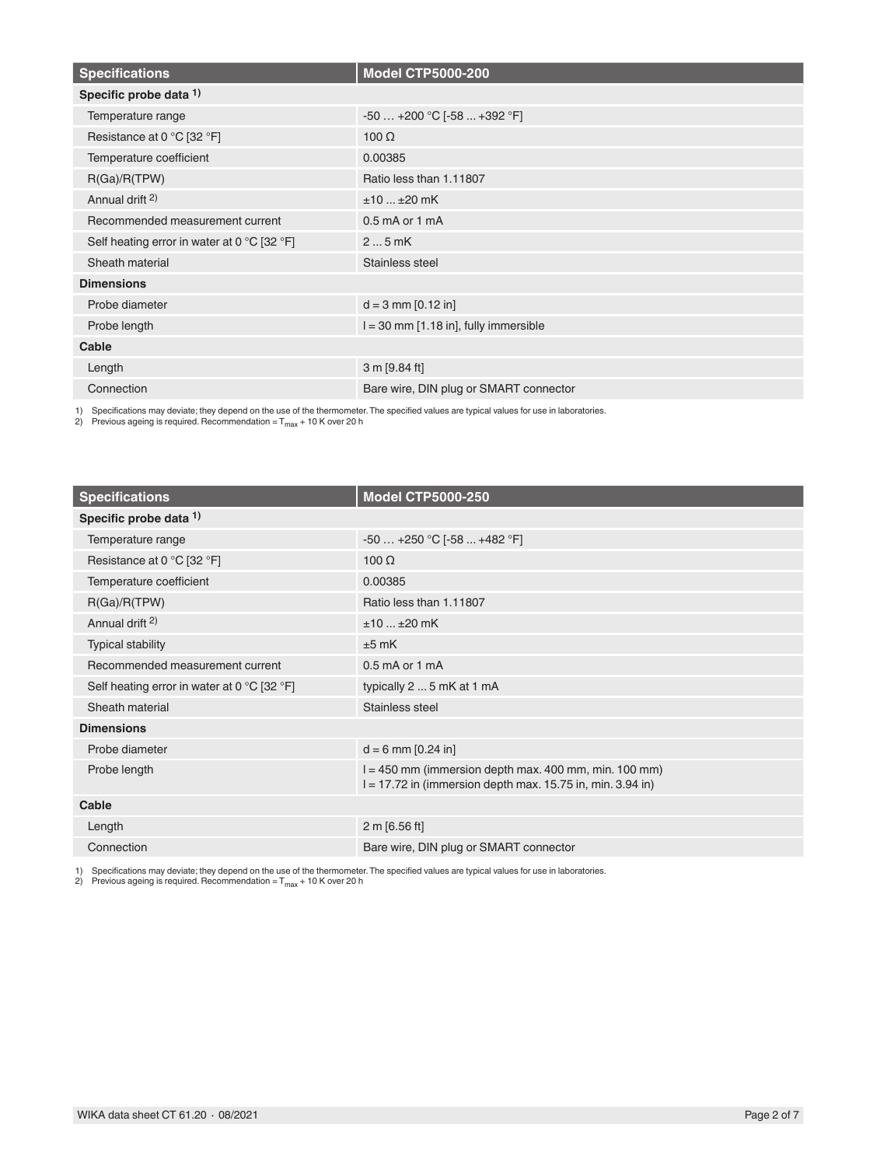| <b>Specifications</b>                       | <b>Model CTP5000-200</b>                  |  |
|---------------------------------------------|-------------------------------------------|--|
| Specific probe data 1)                      |                                           |  |
| Temperature range                           | $-50+200$ °C $[-58+392$ °F]               |  |
| Resistance at 0 °C [32 °F]                  | $100 \Omega$                              |  |
| Temperature coefficient                     | 0.00385                                   |  |
| R(Ga)/R(TPW)                                | Ratio less than 1.11807                   |  |
| Annual drift <sup>2)</sup>                  | $±10±20$ mK                               |  |
| Recommended measurement current             | $0.5$ mA or 1 mA                          |  |
| Self heating error in water at 0 °C [32 °F] | $25$ mK                                   |  |
| Sheath material                             | Stainless steel                           |  |
| <b>Dimensions</b>                           |                                           |  |
| Probe diameter                              | $d = 3$ mm $[0.12$ in]                    |  |
| Probe length                                | $I = 30$ mm $[1.18$ in], fully immersible |  |
| Cable                                       |                                           |  |
| Length                                      | 3 m [9.84 ft]                             |  |
| Connection                                  | Bare wire, DIN plug or SMART connector    |  |

1) Specifications may deviate; they depend on the use of the thermometer. The specified values are typical values for use in laboratories.<br>2) Previous ageing is required. Recommendation = T<sub>max</sub> + 10 K over 20 h

| <b>Specifications</b>                       | <b>Model CTP5000-250</b>                                                                                                |
|---------------------------------------------|-------------------------------------------------------------------------------------------------------------------------|
| Specific probe data 1)                      |                                                                                                                         |
| Temperature range                           | $-50+250$ °C $[-58+482$ °F]                                                                                             |
| Resistance at 0 °C [32 °F]                  | $100 \Omega$                                                                                                            |
| Temperature coefficient                     | 0.00385                                                                                                                 |
| R(Ga)/R(TPW)                                | Ratio less than 1.11807                                                                                                 |
| Annual drift <sup>2)</sup>                  | $±10±20$ mK                                                                                                             |
| <b>Typical stability</b>                    | $±5$ mK                                                                                                                 |
| Recommended measurement current             | $0.5$ mA or 1 mA                                                                                                        |
| Self heating error in water at 0 °C [32 °F] | typically 2  5 mK at 1 mA                                                                                               |
| Sheath material                             | Stainless steel                                                                                                         |
| <b>Dimensions</b>                           |                                                                                                                         |
| Probe diameter                              | $d = 6$ mm [0.24 in]                                                                                                    |
| Probe length                                | $l = 450$ mm (immersion depth max. 400 mm, min. 100 mm)<br>$l = 17.72$ in (immersion depth max. 15.75 in, min. 3.94 in) |
| Cable                                       |                                                                                                                         |
| Length                                      | 2 m [6.56 ft]                                                                                                           |
| Connection                                  | Bare wire, DIN plug or SMART connector                                                                                  |

1) Specifications may deviate; they depend on the use of the thermometer. The specified values are typical values for use in laboratories.<br>2) Previous ageing is required. Recommendation = T<sub>max</sub> + 10 K over 20 h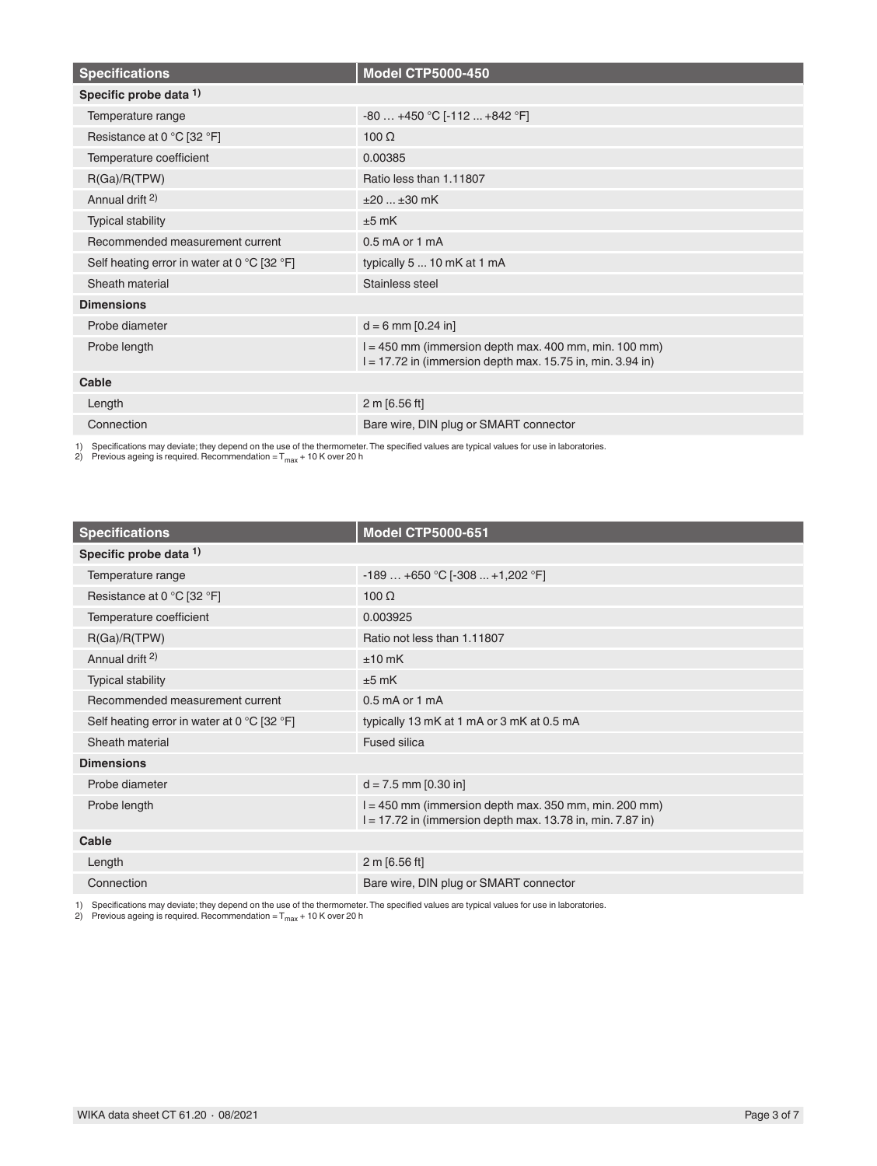| <b>Specifications</b>                                           | <b>Model CTP5000-450</b>                                                                                                |
|-----------------------------------------------------------------|-------------------------------------------------------------------------------------------------------------------------|
| Specific probe data 1)                                          |                                                                                                                         |
| Temperature range                                               | $-80+450$ °C [-112  +842 °F]                                                                                            |
| Resistance at 0 °C [32 °F]                                      | $100 \Omega$                                                                                                            |
| Temperature coefficient                                         | 0.00385                                                                                                                 |
| R(Ga)/R(TPW)                                                    | Ratio less than 1.11807                                                                                                 |
| Annual drift <sup>2)</sup>                                      | $±20±30$ mK                                                                                                             |
| <b>Typical stability</b>                                        | $±5$ mK                                                                                                                 |
| Recommended measurement current                                 | $0.5$ mA or 1 mA                                                                                                        |
| Self heating error in water at 0 $^{\circ}$ C [32 $^{\circ}$ F] | typically 5  10 mK at 1 mA                                                                                              |
| Sheath material                                                 | Stainless steel                                                                                                         |
| <b>Dimensions</b>                                               |                                                                                                                         |
| Probe diameter                                                  | $d = 6$ mm [0.24 in]                                                                                                    |
| Probe length                                                    | $l = 450$ mm (immersion depth max. 400 mm, min. 100 mm)<br>$l = 17.72$ in (immersion depth max. 15.75 in, min. 3.94 in) |
| Cable                                                           |                                                                                                                         |
| Length                                                          | 2 m [6.56 ft]                                                                                                           |
| Connection                                                      | Bare wire, DIN plug or SMART connector                                                                                  |

1) Specifications may deviate; they depend on the use of the thermometer. The specified values are typical values for use in laboratories.<br>2) Previous ageing is required. Recommendation = T<sub>max</sub> + 10 K over 20 h

| <b>Specifications</b>                                           | <b>Model CTP5000-651</b>                                                                                                |
|-----------------------------------------------------------------|-------------------------------------------------------------------------------------------------------------------------|
| Specific probe data 1)                                          |                                                                                                                         |
| Temperature range                                               | $-189+650$ °C [ $-308+1,202$ °F]                                                                                        |
| Resistance at 0 °C [32 °F]                                      | $100 \Omega$                                                                                                            |
| Temperature coefficient                                         | 0.003925                                                                                                                |
| R(Ga)/R(TPW)                                                    | Ratio not less than 1.11807                                                                                             |
| Annual drift <sup>2)</sup>                                      | $±10$ mK                                                                                                                |
| <b>Typical stability</b>                                        | $±5$ mK                                                                                                                 |
| Recommended measurement current                                 | $0.5$ mA or 1 mA                                                                                                        |
| Self heating error in water at 0 $^{\circ}$ C [32 $^{\circ}$ F] | typically 13 mK at 1 mA or 3 mK at 0.5 mA                                                                               |
| Sheath material                                                 | <b>Fused silica</b>                                                                                                     |
| <b>Dimensions</b>                                               |                                                                                                                         |
| Probe diameter                                                  | $d = 7.5$ mm $[0.30$ in]                                                                                                |
| Probe length                                                    | $l = 450$ mm (immersion depth max. 350 mm, min. 200 mm)<br>$l = 17.72$ in (immersion depth max. 13.78 in, min. 7.87 in) |
| Cable                                                           |                                                                                                                         |
| Length                                                          | 2 m [6.56 ft]                                                                                                           |
| Connection                                                      | Bare wire, DIN plug or SMART connector                                                                                  |

1) Specifications may deviate; they depend on the use of the thermometer. The specified values are typical values for use in laboratories.<br>2) Previous ageing is required. Recommendation = T<sub>max</sub> + 10 K over 20 h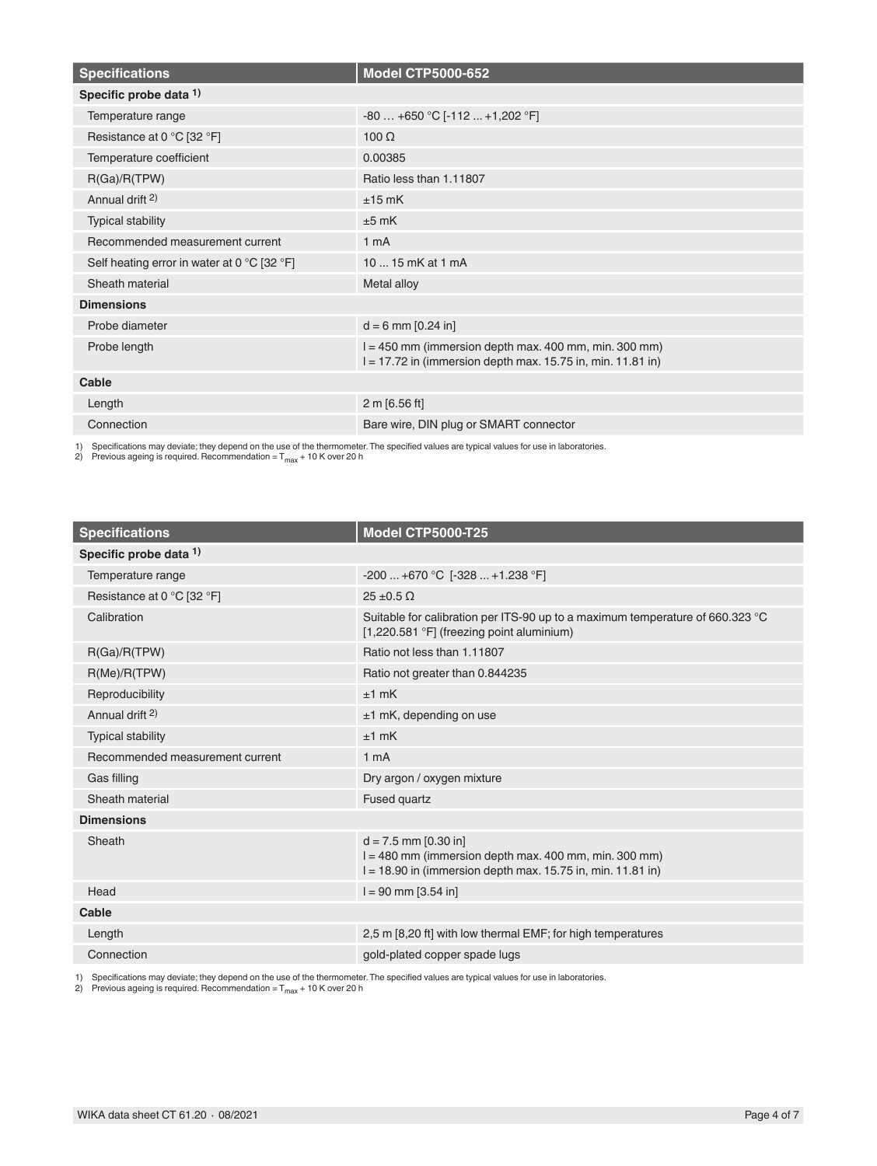| <b>Specifications</b>                                           | <b>Model CTP5000-652</b>                                                                                                 |
|-----------------------------------------------------------------|--------------------------------------------------------------------------------------------------------------------------|
| Specific probe data 1)                                          |                                                                                                                          |
| Temperature range                                               | $-80+650$ °C [ $-112+1,202$ °F]                                                                                          |
| Resistance at 0 °C [32 °F]                                      | $100 \Omega$                                                                                                             |
| Temperature coefficient                                         | 0.00385                                                                                                                  |
| R(Ga)/R(TPW)                                                    | Ratio less than 1.11807                                                                                                  |
| Annual drift <sup>2)</sup>                                      | $±15$ mK                                                                                                                 |
| <b>Typical stability</b>                                        | $±5$ mK                                                                                                                  |
| Recommended measurement current                                 | 1 <sub>m</sub> A                                                                                                         |
| Self heating error in water at 0 $^{\circ}$ C [32 $^{\circ}$ F] | 10  15 mK at 1 mA                                                                                                        |
| Sheath material                                                 | Metal alloy                                                                                                              |
| <b>Dimensions</b>                                               |                                                                                                                          |
| Probe diameter                                                  | $d = 6$ mm $[0.24$ in]                                                                                                   |
| Probe length                                                    | $l = 450$ mm (immersion depth max. 400 mm, min. 300 mm)<br>$l = 17.72$ in (immersion depth max. 15.75 in, min. 11.81 in) |
| Cable                                                           |                                                                                                                          |
| Length                                                          | 2 m [6.56 ft]                                                                                                            |
| Connection                                                      | Bare wire, DIN plug or SMART connector                                                                                   |

1) Specifications may deviate; they depend on the use of the thermometer. The specified values are typical values for use in laboratories.<br>2) Previous ageing is required. Recommendation = T<sub>max</sub> + 10 K over 20 h

| <b>Specifications</b>           | <b>Model CTP5000-T25</b>                                                                                                                             |  |
|---------------------------------|------------------------------------------------------------------------------------------------------------------------------------------------------|--|
| Specific probe data 1)          |                                                                                                                                                      |  |
| Temperature range               | $-200$ $+670$ °C [ $-328$ $+1.238$ °F]                                                                                                               |  |
| Resistance at 0 °C [32 °F]      | $25 \pm 0.5 \Omega$                                                                                                                                  |  |
| Calibration                     | Suitable for calibration per ITS-90 up to a maximum temperature of 660.323 °C<br>[1,220.581 °F] (freezing point aluminium)                           |  |
| R(Ga)/R(TPW)                    | Ratio not less than 1.11807                                                                                                                          |  |
| R(Me)/R(TPW)                    | Ratio not greater than 0.844235                                                                                                                      |  |
| Reproducibility                 | $±1$ mK                                                                                                                                              |  |
| Annual drift <sup>2)</sup>      | $±1$ mK, depending on use                                                                                                                            |  |
| Typical stability               | $±1$ mK                                                                                                                                              |  |
| Recommended measurement current | 1 <sub>m</sub> A                                                                                                                                     |  |
| Gas filling                     | Dry argon / oxygen mixture                                                                                                                           |  |
| Sheath material                 | <b>Fused quartz</b>                                                                                                                                  |  |
| <b>Dimensions</b>               |                                                                                                                                                      |  |
| Sheath                          | $d = 7.5$ mm $[0.30$ in]<br>$l = 480$ mm (immersion depth max. 400 mm, min. 300 mm)<br>$I = 18.90$ in (immersion depth max. 15.75 in, min. 11.81 in) |  |
| Head                            | $l = 90$ mm $[3.54$ in]                                                                                                                              |  |
| Cable                           |                                                                                                                                                      |  |
| Length                          | 2.5 m [8.20 ft] with low thermal EMF; for high temperatures                                                                                          |  |
| Connection                      | gold-plated copper spade lugs                                                                                                                        |  |

1) Specifications may deviate; they depend on the use of the thermometer. The specified values are typical values for use in laboratories.<br>2) Previous ageing is required. Recommendation = T<sub>max</sub> + 10 K over 20 h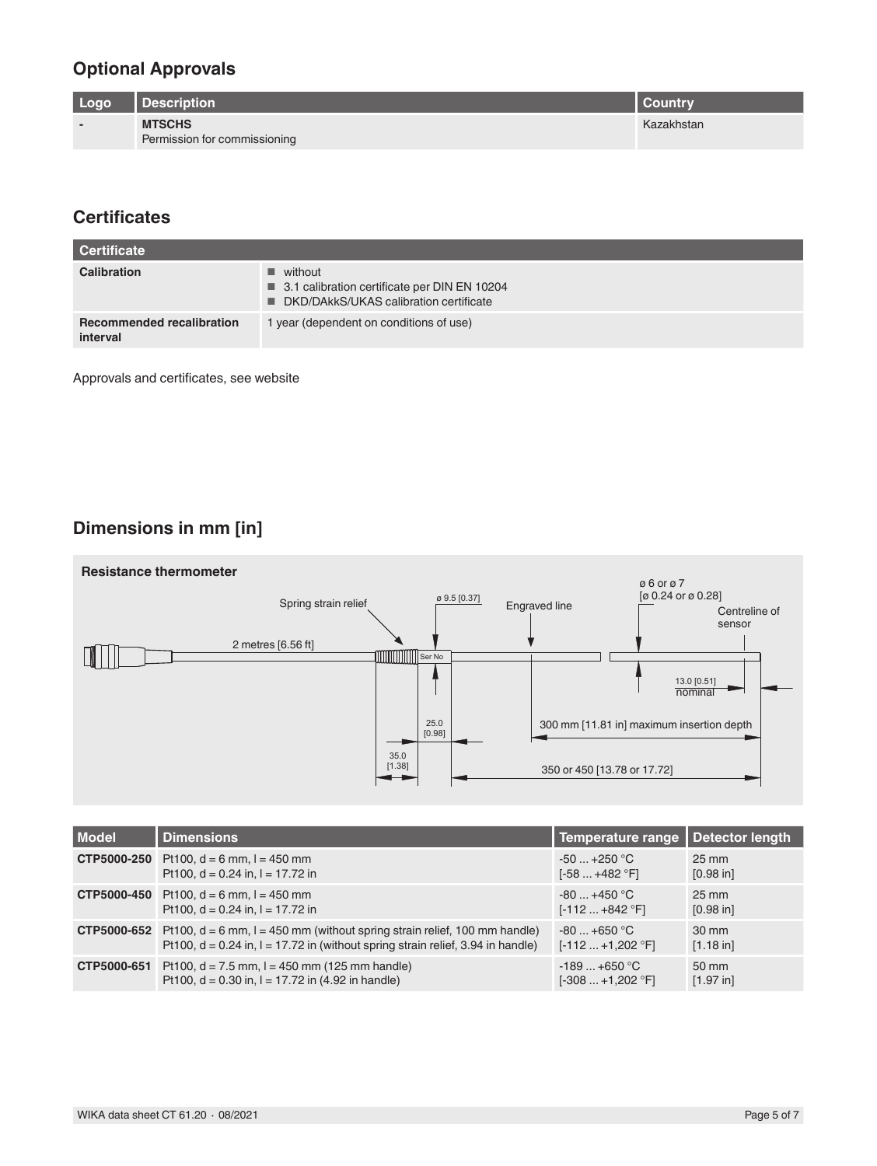#### **Optional Approvals**

| Logo                     | <b>Description</b>           | I Countrv  |
|--------------------------|------------------------------|------------|
| $\overline{\phantom{0}}$ | <b>MTSCHS</b>                | Kazakhstan |
|                          | Permission for commissioning |            |

# **Certificates**

| <b>Certificate</b>                           |                                                                                                                      |
|----------------------------------------------|----------------------------------------------------------------------------------------------------------------------|
| <b>Calibration</b>                           | $\blacksquare$ without<br>■ 3.1 calibration certificate per DIN EN 10204<br>■ DKD/DAkkS/UKAS calibration certificate |
| <b>Recommended recalibration</b><br>interval | 1 year (dependent on conditions of use)                                                                              |

Approvals and certificates, see website

# **Dimensions in mm [in]**



| <b>Model</b>       | <b>Dimensions</b>                                                                   | Temperature range   Detector length |                 |
|--------------------|-------------------------------------------------------------------------------------|-------------------------------------|-----------------|
| CTP5000-250        | Pt100, $d = 6$ mm, $l = 450$ mm                                                     | $-50+250$ °C                        | $25 \text{ mm}$ |
|                    | Pt100, $d = 0.24$ in, $l = 17.72$ in                                                | $[-58+482 °F]$                      | [0.98 in]       |
| <b>CTP5000-450</b> | Pt100, $d = 6$ mm, $l = 450$ mm                                                     | $-80+450$ °C                        | $25 \text{ mm}$ |
|                    | Pt100, $d = 0.24$ in, $l = 17.72$ in                                                | $[-112+842$ °F]                     | $[0.98$ in]     |
| CTP5000-652        | Pt100, $d = 6$ mm, $l = 450$ mm (without spring strain relief, 100 mm handle)       | $-80+650$ °C                        | $30 \text{ mm}$ |
|                    | Pt100, $d = 0.24$ in, $l = 17.72$ in (without spring strain relief, 3.94 in handle) | $[-112  +1,202 °F]$                 | [1.18 in]       |
| CTP5000-651        | Pt100, $d = 7.5$ mm, $l = 450$ mm (125 mm handle)                                   | $-189+650$ °C                       | 50 mm           |
|                    | Pt100, $d = 0.30$ in, $l = 17.72$ in (4.92 in handle)                               | $[-308+1,202$ °F]                   | [1.97 in]       |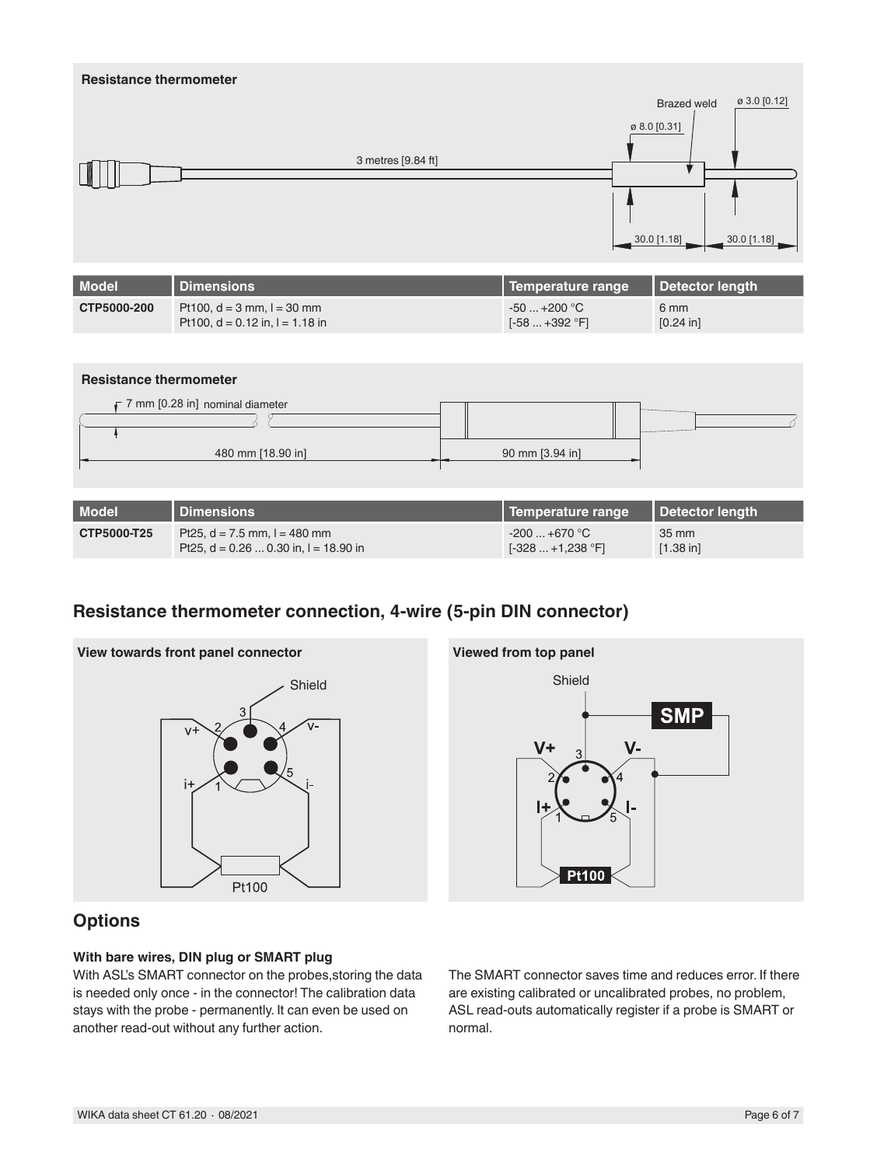



| <b>Model</b> | Dimensions                               | Temperature range   Detector length |             |
|--------------|------------------------------------------|-------------------------------------|-------------|
| CTP5000-T25  | Pt25, $d = 7.5$ mm, $l = 480$ mm         | $-200+670$ °C                       | 35 mm       |
|              | Pt25, $d = 0.26$ 0.30 in, $l = 18.90$ in | $[-328+1,238$ °F1                   | $[1.38]$ in |

#### **Resistance thermometer connection, 4-wire (5-pin DIN connector)**





# **Options**

#### **With bare wires, DIN plug or SMART plug**

With ASL's SMART connector on the probes,storing the data is needed only once - in the connector! The calibration data stays with the probe - permanently. It can even be used on another read-out without any further action.

The SMART connector saves time and reduces error. If there are existing calibrated or uncalibrated probes, no problem, ASL read-outs automatically register if a probe is SMART or normal.